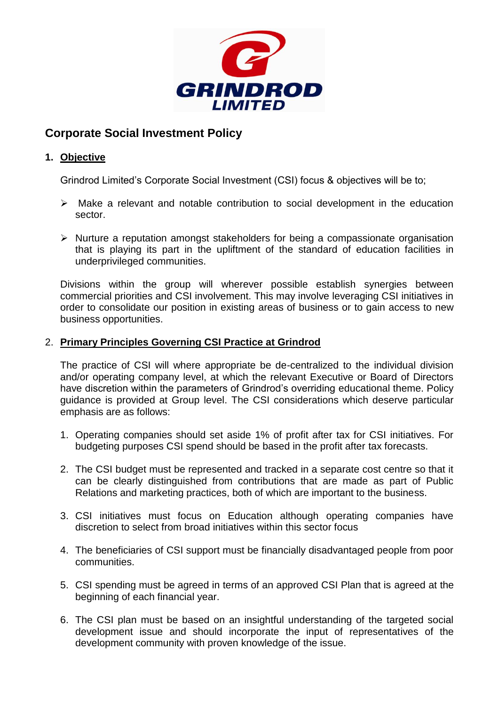

# **Corporate Social Investment Policy**

## **1. Objective**

Grindrod Limited's Corporate Social Investment (CSI) focus & objectives will be to;

- $\triangleright$  Make a relevant and notable contribution to social development in the education sector.
- $\triangleright$  Nurture a reputation amongst stakeholders for being a compassionate organisation that is playing its part in the upliftment of the standard of education facilities in underprivileged communities.

Divisions within the group will wherever possible establish synergies between commercial priorities and CSI involvement. This may involve leveraging CSI initiatives in order to consolidate our position in existing areas of business or to gain access to new business opportunities.

### 2. **Primary Principles Governing CSI Practice at Grindrod**

The practice of CSI will where appropriate be de-centralized to the individual division and/or operating company level, at which the relevant Executive or Board of Directors have discretion within the parameters of Grindrod's overriding educational theme. Policy guidance is provided at Group level. The CSI considerations which deserve particular emphasis are as follows:

- 1. Operating companies should set aside 1% of profit after tax for CSI initiatives. For budgeting purposes CSI spend should be based in the profit after tax forecasts.
- 2. The CSI budget must be represented and tracked in a separate cost centre so that it can be clearly distinguished from contributions that are made as part of Public Relations and marketing practices, both of which are important to the business.
- 3. CSI initiatives must focus on Education although operating companies have discretion to select from broad initiatives within this sector focus
- 4. The beneficiaries of CSI support must be financially disadvantaged people from poor communities.
- 5. CSI spending must be agreed in terms of an approved CSI Plan that is agreed at the beginning of each financial year.
- 6. The CSI plan must be based on an insightful understanding of the targeted social development issue and should incorporate the input of representatives of the development community with proven knowledge of the issue.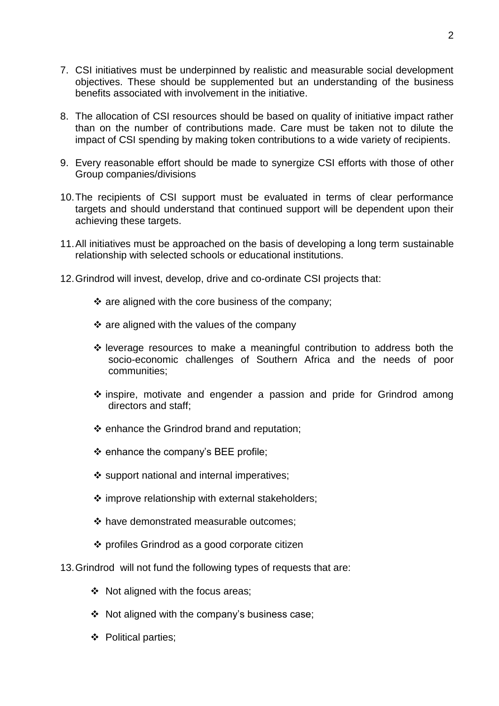- 7. CSI initiatives must be underpinned by realistic and measurable social development objectives. These should be supplemented but an understanding of the business benefits associated with involvement in the initiative.
- 8. The allocation of CSI resources should be based on quality of initiative impact rather than on the number of contributions made. Care must be taken not to dilute the impact of CSI spending by making token contributions to a wide variety of recipients.
- 9. Every reasonable effort should be made to synergize CSI efforts with those of other Group companies/divisions
- 10.The recipients of CSI support must be evaluated in terms of clear performance targets and should understand that continued support will be dependent upon their achieving these targets.
- 11.All initiatives must be approached on the basis of developing a long term sustainable relationship with selected schools or educational institutions.
- 12.Grindrod will invest, develop, drive and co-ordinate CSI projects that:
	- $\cdot$  are aligned with the core business of the company;
	- $\cdot$  are aligned with the values of the company
	- $\cdot$  leverage resources to make a meaningful contribution to address both the socio-economic challenges of Southern Africa and the needs of poor communities;
	- \* inspire, motivate and engender a passion and pride for Grindrod among directors and staff;
	- $\div$  enhance the Grindrod brand and reputation;
	- $\div$  enhance the company's BEE profile;
	- $\div$  support national and internal imperatives;
	- $\div$  improve relationship with external stakeholders;
	- ❖ have demonstrated measurable outcomes:
	- $\div$  profiles Grindrod as a good corporate citizen
- 13.Grindrod will not fund the following types of requests that are:
	- $\div$  Not aligned with the focus areas;
	- Not aligned with the company's business case;
	- ❖ Political parties;